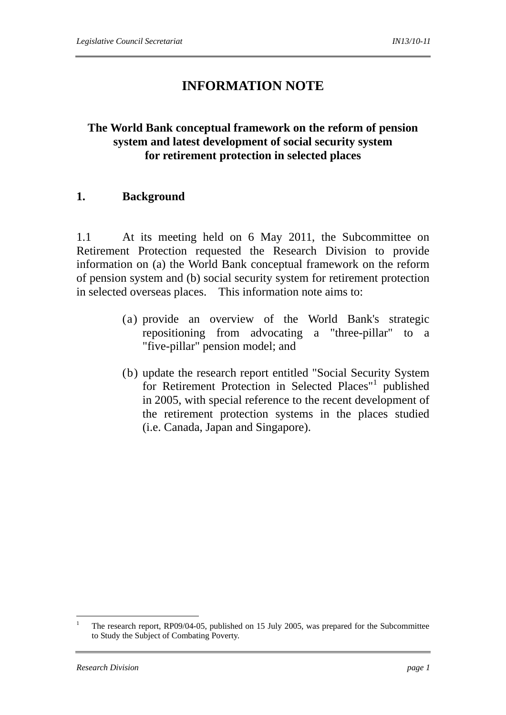# **INFORMATION NOTE**

# **The World Bank conceptual framework on the reform of pension system and latest development of social security system for retirement protection in selected places**

#### **1. Background**

1.1 At its meeting held on 6 May 2011, the Subcommittee on Retirement Protection requested the Research Division to provide information on (a) the World Bank conceptual framework on the reform of pension system and (b) social security system for retirement protection in selected overseas places. This information note aims to:

- (a) provide an overview of the World Bank's strategic repositioning from advocating a "three-pillar" to a "five-pillar" pension model; and
- (b) update the research report entitled "Social Security System for Retirement Protection in Selected Places"<sup>1</sup> published in 2005, with special reference to the recent development of the retirement protection systems in the places studied (i.e. Canada, Japan and Singapore).

1

<sup>1</sup> The research report, RP09/04-05, published on 15 July 2005, was prepared for the Subcommittee to Study the Subject of Combating Poverty.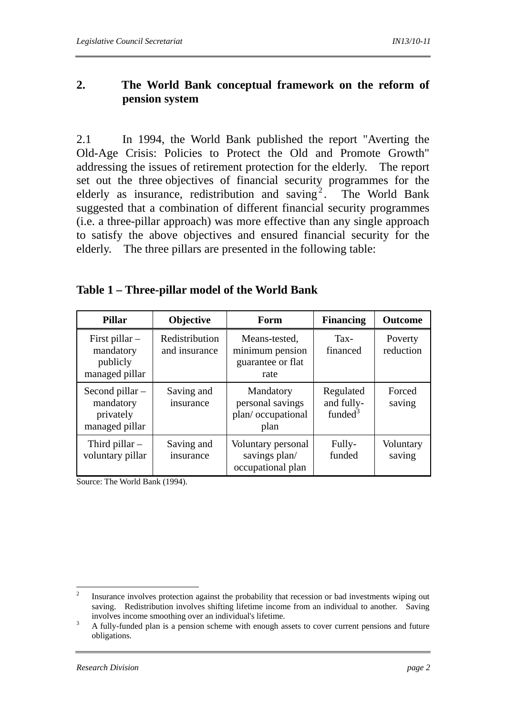# **2. The World Bank conceptual framework on the reform of pension system**

2.1 In 1994, the World Bank published the report "Averting the Old-Age Crisis: Policies to Protect the Old and Promote Growth" addressing the issues of retirement protection for the elderly. The report set out the three objectives of financial security programmes for the elderly as insurance, redistribution and saving<sup>2</sup>. The World Bank suggested that a combination of different financial security programmes (i.e. a three-pillar approach) was more effective than any single approach to satisfy the above objectives and ensured financial security for the elderly. The three pillars are presented in the following table:

# **Table 1 – Three-pillar model of the World Bank**

| <b>Pillar</b>                                                 | Objective                       | Form                                                          | <b>Financing</b>                               | <b>Outcome</b>       |
|---------------------------------------------------------------|---------------------------------|---------------------------------------------------------------|------------------------------------------------|----------------------|
| First pillar $-$<br>mandatory<br>publicly<br>managed pillar   | Redistribution<br>and insurance | Means-tested,<br>minimum pension<br>guarantee or flat<br>rate | Tax-<br>financed                               | Poverty<br>reduction |
| Second pillar $-$<br>mandatory<br>privately<br>managed pillar | Saving and<br>insurance         | Mandatory<br>personal savings<br>plan/occupational<br>plan    | Regulated<br>and fully-<br>funded <sup>3</sup> | Forced<br>saving     |
| Third pillar $-$<br>voluntary pillar                          | Saving and<br>insurance         | Voluntary personal<br>savings plan/<br>occupational plan      | Fully-<br>funded                               | Voluntary<br>saving  |

Source: The World Bank (1994).

 $\frac{1}{2}$  Insurance involves protection against the probability that recession or bad investments wiping out saving. Redistribution involves shifting lifetime income from an individual to another. Saving involves income smoothing over an individual's lifetime.

A fully-funded plan is a pension scheme with enough assets to cover current pensions and future obligations.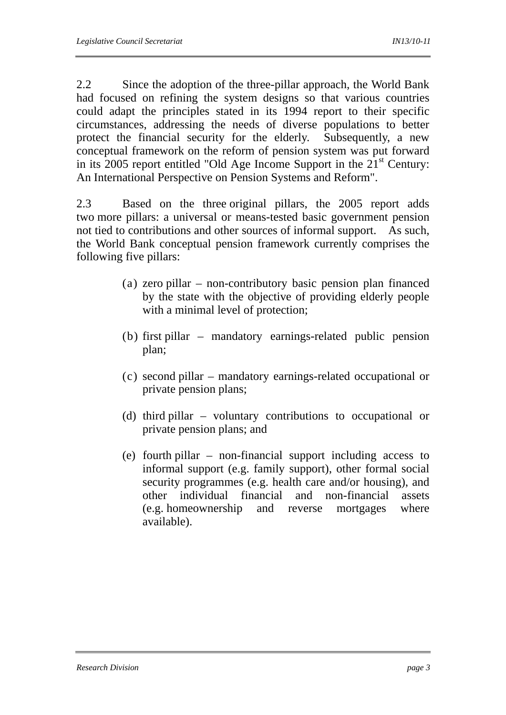2.2 Since the adoption of the three-pillar approach, the World Bank had focused on refining the system designs so that various countries could adapt the principles stated in its 1994 report to their specific circumstances, addressing the needs of diverse populations to better protect the financial security for the elderly. Subsequently, a new conceptual framework on the reform of pension system was put forward in its 2005 report entitled "Old Age Income Support in the  $21<sup>st</sup>$  Century: An International Perspective on Pension Systems and Reform".

2.3 Based on the three original pillars, the 2005 report adds two more pillars: a universal or means-tested basic government pension not tied to contributions and other sources of informal support. As such, the World Bank conceptual pension framework currently comprises the following five pillars:

- (a) zero pillar non-contributory basic pension plan financed by the state with the objective of providing elderly people with a minimal level of protection;
- (b) first pillar mandatory earnings-related public pension plan;
- (c) second pillar mandatory earnings-related occupational or private pension plans;
- (d) third pillar voluntary contributions to occupational or private pension plans; and
- (e) fourth pillar non-financial support including access to informal support (e.g. family support), other formal social security programmes (e.g. health care and/or housing), and other individual financial and non-financial assets (e.g. homeownership and reverse mortgages where available).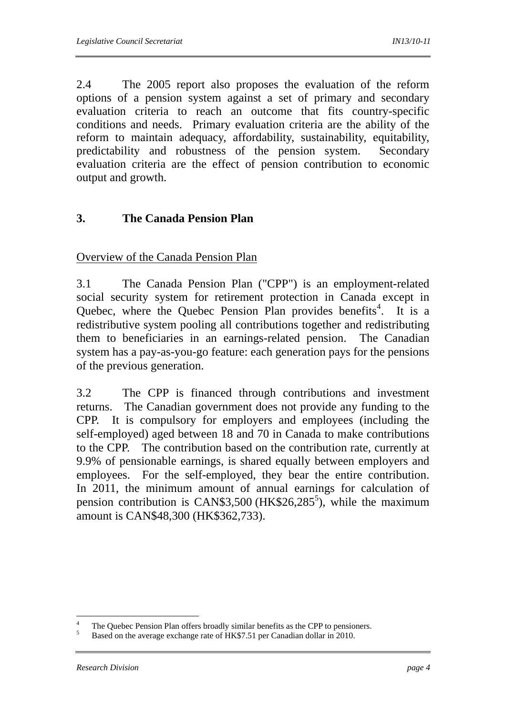2.4 The 2005 report also proposes the evaluation of the reform options of a pension system against a set of primary and secondary evaluation criteria to reach an outcome that fits country-specific conditions and needs. Primary evaluation criteria are the ability of the reform to maintain adequacy, affordability, sustainability, equitability, predictability and robustness of the pension system. Secondary evaluation criteria are the effect of pension contribution to economic output and growth.

# **3. The Canada Pension Plan**

Overview of the Canada Pension Plan

3.1 The Canada Pension Plan ("CPP") is an employment-related social security system for retirement protection in Canada except in Quebec, where the Quebec Pension Plan provides benefits<sup>4</sup>. It is a redistributive system pooling all contributions together and redistributing them to beneficiaries in an earnings-related pension. The Canadian system has a pay-as-you-go feature: each generation pays for the pensions of the previous generation.

3.2 The CPP is financed through contributions and investment returns. The Canadian government does not provide any funding to the CPP. It is compulsory for employers and employees (including the self-employed) aged between 18 and 70 in Canada to make contributions to the CPP. The contribution based on the contribution rate, currently at 9.9% of pensionable earnings, is shared equally between employers and employees. For the self-employed, they bear the entire contribution. In 2011, the minimum amount of annual earnings for calculation of pension contribution is CAN\$3,500 (HK\$26,285<sup>5</sup>), while the maximum amount is CAN\$48,300 (HK\$362,733).

 $\frac{1}{4}$ <sup>4</sup> The Quebec Pension Plan offers broadly similar benefits as the CPP to pensioners.<br><sup>5</sup> Peaced on the suggests preference attack LUC<sup>C</sup>7.51 are Gaussling dellar in 2010.

<sup>5</sup> Based on the average exchange rate of HK\$7.51 per Canadian dollar in 2010.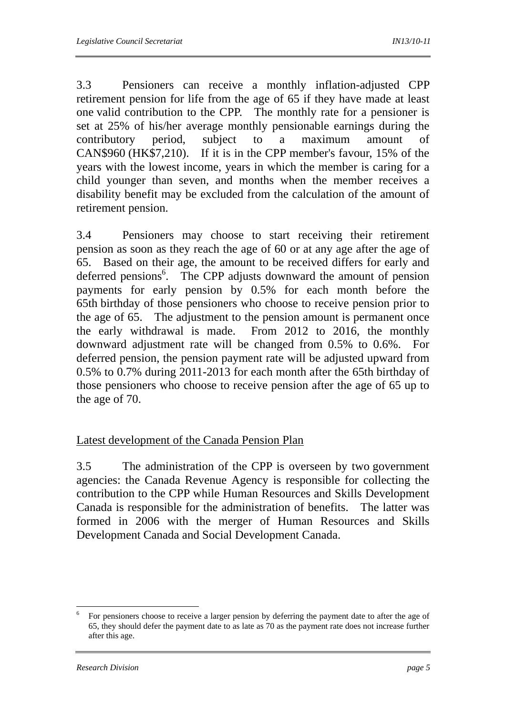3.3 Pensioners can receive a monthly inflation-adjusted CPP retirement pension for life from the age of 65 if they have made at least one valid contribution to the CPP. The monthly rate for a pensioner is set at 25% of his/her average monthly pensionable earnings during the contributory period, subject to a maximum amount of CAN\$960 (HK\$7,210). If it is in the CPP member's favour, 15% of the years with the lowest income, years in which the member is caring for a child younger than seven, and months when the member receives a disability benefit may be excluded from the calculation of the amount of retirement pension.

3.4 Pensioners may choose to start receiving their retirement pension as soon as they reach the age of 60 or at any age after the age of 65. Based on their age, the amount to be received differs for early and deferred pensions<sup>6</sup>. The CPP adjusts downward the amount of pension payments for early pension by 0.5% for each month before the 65th birthday of those pensioners who choose to receive pension prior to the age of 65. The adjustment to the pension amount is permanent once the early withdrawal is made. From 2012 to 2016, the monthly downward adjustment rate will be changed from 0.5% to 0.6%. For deferred pension, the pension payment rate will be adjusted upward from 0.5% to 0.7% during 2011-2013 for each month after the 65th birthday of those pensioners who choose to receive pension after the age of 65 up to the age of 70.

### Latest development of the Canada Pension Plan

3.5 The administration of the CPP is overseen by two government agencies: the Canada Revenue Agency is responsible for collecting the contribution to the CPP while Human Resources and Skills Development Canada is responsible for the administration of benefits. The latter was formed in 2006 with the merger of Human Resources and Skills Development Canada and Social Development Canada.

1

<sup>6</sup> For pensioners choose to receive a larger pension by deferring the payment date to after the age of 65, they should defer the payment date to as late as 70 as the payment rate does not increase further after this age.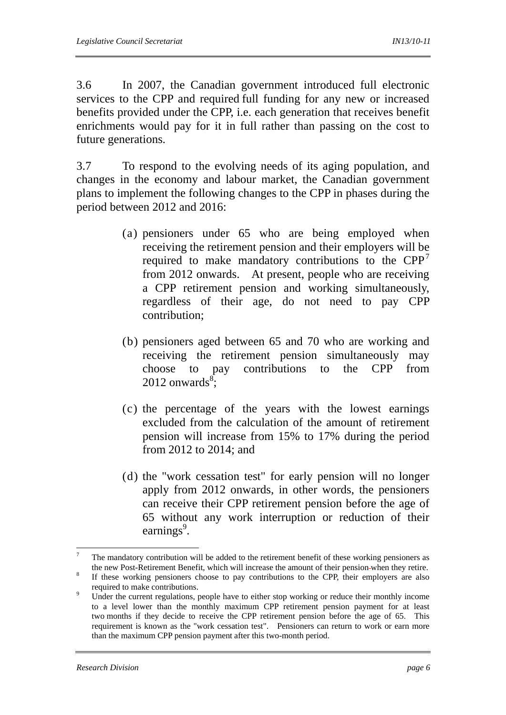3.6 In 2007, the Canadian government introduced full electronic services to the CPP and required full funding for any new or increased benefits provided under the CPP, i.e. each generation that receives benefit enrichments would pay for it in full rather than passing on the cost to future generations.

3.7 To respond to the evolving needs of its aging population, and changes in the economy and labour market, the Canadian government plans to implement the following changes to the CPP in phases during the period between 2012 and 2016:

- (a) pensioners under 65 who are being employed when receiving the retirement pension and their employers will be required to make mandatory contributions to the  $\text{CPP}^7$ from 2012 onwards. At present, people who are receiving a CPP retirement pension and working simultaneously, regardless of their age, do not need to pay CPP contribution;
- (b) pensioners aged between 65 and 70 who are working and receiving the retirement pension simultaneously may choose to pay contributions to the CPP from  $2012$  onwards<sup>8</sup>;
- (c) the percentage of the years with the lowest earnings excluded from the calculation of the amount of retirement pension will increase from 15% to 17% during the period from 2012 to 2014; and
- (d) the "work cessation test" for early pension will no longer apply from 2012 onwards, in other words, the pensioners can receive their CPP retirement pension before the age of 65 without any work interruption or reduction of their earnings<sup>9</sup>.

<sup>—&</sup>lt;br>7 The mandatory contribution will be added to the retirement benefit of these working pensioners as the new Post-Retirement Benefit, which will increase the amount of their pension-when they retire.

If these working pensioners choose to pay contributions to the CPP, their employers are also required to make contributions.

Under the current regulations, people have to either stop working or reduce their monthly income to a level lower than the monthly maximum CPP retirement pension payment for at least two months if they decide to receive the CPP retirement pension before the age of 65. This requirement is known as the "work cessation test". Pensioners can return to work or earn more than the maximum CPP pension payment after this two-month period.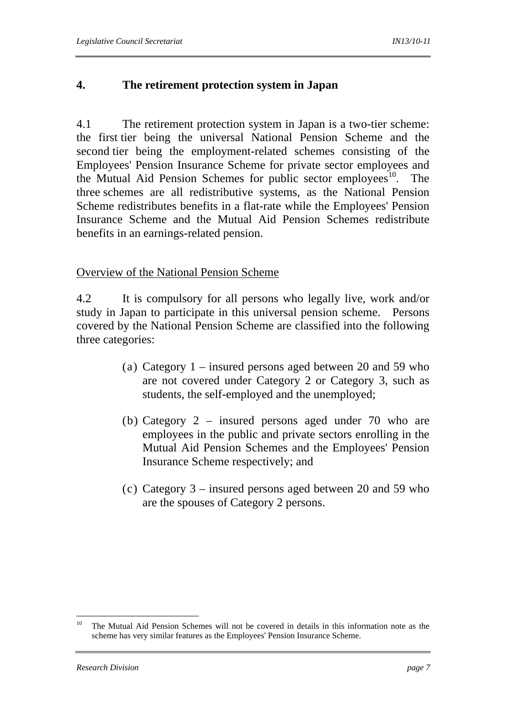# **4. The retirement protection system in Japan**

4.1 The retirement protection system in Japan is a two-tier scheme: the first tier being the universal National Pension Scheme and the second tier being the employment-related schemes consisting of the Employees' Pension Insurance Scheme for private sector employees and the Mutual Aid Pension Schemes for public sector employees<sup>10</sup>. The three schemes are all redistributive systems, as the National Pension Scheme redistributes benefits in a flat-rate while the Employees' Pension Insurance Scheme and the Mutual Aid Pension Schemes redistribute benefits in an earnings-related pension.

### Overview of the National Pension Scheme

4.2 It is compulsory for all persons who legally live, work and/or study in Japan to participate in this universal pension scheme. Persons covered by the National Pension Scheme are classified into the following three categories:

- (a) Category 1 insured persons aged between 20 and 59 who are not covered under Category 2 or Category 3, such as students, the self-employed and the unemployed;
- (b) Category 2 insured persons aged under 70 who are employees in the public and private sectors enrolling in the Mutual Aid Pension Schemes and the Employees' Pension Insurance Scheme respectively; and
- (c) Category 3 insured persons aged between 20 and 59 who are the spouses of Category 2 persons.

 $10\,$ 10 The Mutual Aid Pension Schemes will not be covered in details in this information note as the scheme has very similar features as the Employees' Pension Insurance Scheme.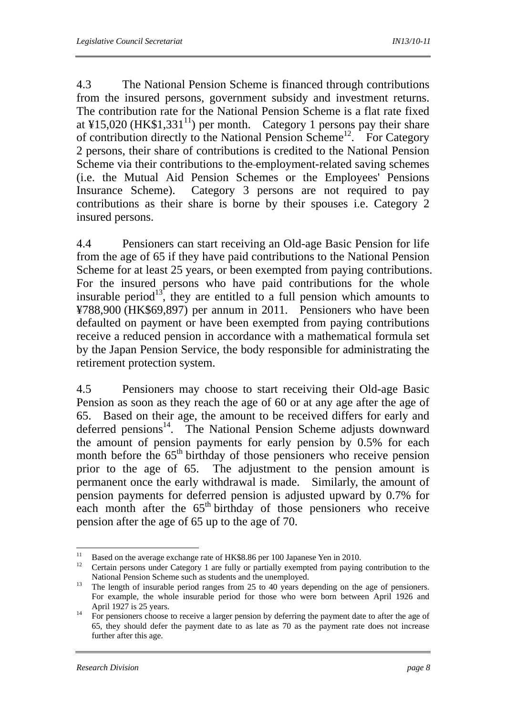4.3 The National Pension Scheme is financed through contributions from the insured persons, government subsidy and investment returns. The contribution rate for the National Pension Scheme is a flat rate fixed at ¥15,020 (HK\$1,331<sup>11</sup>) per month. Category 1 persons pay their share of contribution directly to the National Pension Scheme<sup>12</sup>. For Category 2 persons, their share of contributions is credited to the National Pension Scheme via their contributions to the employment-related saving schemes (i.e. the Mutual Aid Pension Schemes or the Employees' Pensions Insurance Scheme). Category 3 persons are not required to pay contributions as their share is borne by their spouses i.e. Category 2 insured persons.

4.4 Pensioners can start receiving an Old-age Basic Pension for life from the age of 65 if they have paid contributions to the National Pension Scheme for at least 25 years, or been exempted from paying contributions. For the insured persons who have paid contributions for the whole insurable period<sup>13</sup>, they are entitled to a full pension which amounts to ¥788,900 (HK\$69,897) per annum in 2011. Pensioners who have been defaulted on payment or have been exempted from paying contributions receive a reduced pension in accordance with a mathematical formula set by the Japan Pension Service, the body responsible for administrating the retirement protection system.

4.5 Pensioners may choose to start receiving their Old-age Basic Pension as soon as they reach the age of 60 or at any age after the age of 65. Based on their age, the amount to be received differs for early and deferred pensions<sup>14</sup>. The National Pension Scheme adjusts downward the amount of pension payments for early pension by 0.5% for each month before the  $65<sup>th</sup>$  birthday of those pensioners who receive pension prior to the age of 65. The adjustment to the pension amount is permanent once the early withdrawal is made. Similarly, the amount of pension payments for deferred pension is adjusted upward by 0.7% for each month after the  $65<sup>th</sup>$  birthday of those pensioners who receive pension after the age of 65 up to the age of 70.

 $11$ <sup>11</sup> Based on the average exchange rate of HK\$8.86 per 100 Japanese Yen in 2010.

<sup>12</sup> Certain persons under Category 1 are fully or partially exempted from paying contribution to the

National Pension Scheme such as students and the unemployed.<br><sup>13</sup> The length of insurable period ranges from 25 to 40 years depending on the age of pensioners. For example, the whole insurable period for those who were born between April 1926 and

April 1927 is 25 years.<br><sup>14</sup> For pensioners choose to receive a larger pension by deferring the payment date to after the age of 65, they should defer the payment date to as late as 70 as the payment rate does not increase further after this age.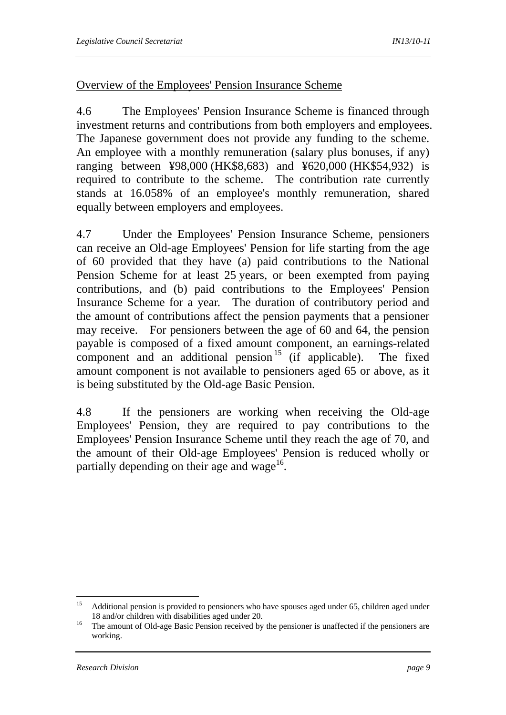### Overview of the Employees' Pension Insurance Scheme

4.6 The Employees' Pension Insurance Scheme is financed through investment returns and contributions from both employers and employees. The Japanese government does not provide any funding to the scheme. An employee with a monthly remuneration (salary plus bonuses, if any) ranging between ¥98,000 (HK\$8,683) and ¥620,000 (HK\$54,932) is required to contribute to the scheme. The contribution rate currently stands at 16.058% of an employee's monthly remuneration, shared equally between employers and employees.

4.7 Under the Employees' Pension Insurance Scheme, pensioners can receive an Old-age Employees' Pension for life starting from the age of 60 provided that they have (a) paid contributions to the National Pension Scheme for at least 25 years, or been exempted from paying contributions, and (b) paid contributions to the Employees' Pension Insurance Scheme for a year. The duration of contributory period and the amount of contributions affect the pension payments that a pensioner may receive. For pensioners between the age of 60 and 64, the pension payable is composed of a fixed amount component, an earnings-related component and an additional pension  $15$  (if applicable). The fixed amount component is not available to pensioners aged 65 or above, as it is being substituted by the Old-age Basic Pension.

4.8 If the pensioners are working when receiving the Old-age Employees' Pension, they are required to pay contributions to the Employees' Pension Insurance Scheme until they reach the age of 70, and the amount of their Old-age Employees' Pension is reduced wholly or partially depending on their age and wage $^{16}$ .

 $15$ 15 Additional pension is provided to pensioners who have spouses aged under 65, children aged under

<sup>18</sup> and/or children with disabilities aged under 20.<br><sup>16</sup> The amount of Old-age Basic Pension received by the pensioner is unaffected if the pensioners are working.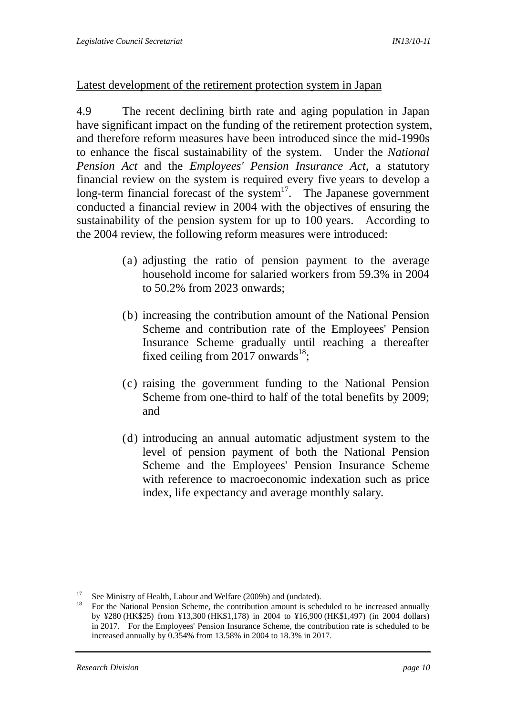### Latest development of the retirement protection system in Japan

4.9 The recent declining birth rate and aging population in Japan have significant impact on the funding of the retirement protection system, and therefore reform measures have been introduced since the mid-1990s to enhance the fiscal sustainability of the system. Under the *National Pension Act* and the *Employees' Pension Insurance Act*, a statutory financial review on the system is required every five years to develop a long-term financial forecast of the system<sup>17</sup>. The Japanese government conducted a financial review in 2004 with the objectives of ensuring the sustainability of the pension system for up to 100 years. According to the 2004 review, the following reform measures were introduced:

- (a) adjusting the ratio of pension payment to the average household income for salaried workers from 59.3% in 2004 to 50.2% from 2023 onwards;
- (b) increasing the contribution amount of the National Pension Scheme and contribution rate of the Employees' Pension Insurance Scheme gradually until reaching a thereafter fixed ceiling from 2017 onwards<sup>18</sup>;
- (c) raising the government funding to the National Pension Scheme from one-third to half of the total benefits by 2009; and
- (d) introducing an annual automatic adjustment system to the level of pension payment of both the National Pension Scheme and the Employees' Pension Insurance Scheme with reference to macroeconomic indexation such as price index, life expectancy and average monthly salary.

<sup>17</sup> <sup>17</sup> See Ministry of Health, Labour and Welfare (2009b) and (undated).

<sup>18</sup> For the National Pension Scheme, the contribution amount is scheduled to be increased annually by ¥280 (HK\$25) from ¥13,300 (HK\$1,178) in 2004 to ¥16,900 (HK\$1,497) (in 2004 dollars) in 2017. For the Employees' Pension Insurance Scheme, the contribution rate is scheduled to be increased annually by 0.354% from 13.58% in 2004 to 18.3% in 2017.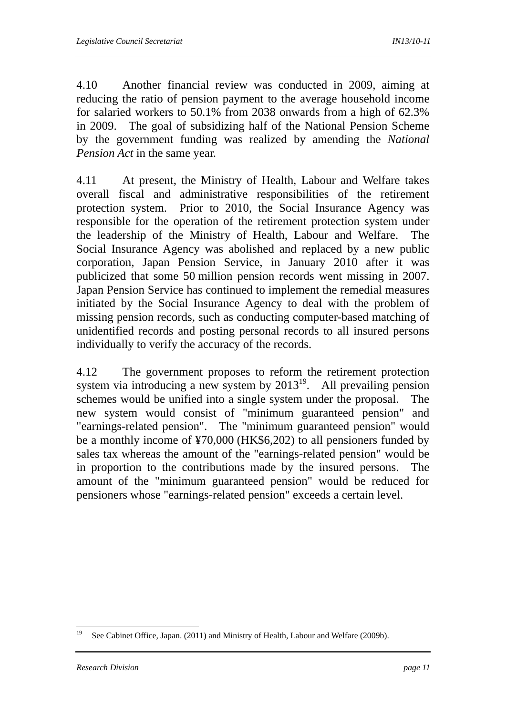4.10 Another financial review was conducted in 2009, aiming at reducing the ratio of pension payment to the average household income for salaried workers to 50.1% from 2038 onwards from a high of 62.3% in 2009. The goal of subsidizing half of the National Pension Scheme by the government funding was realized by amending the *National Pension Act* in the same year.

4.11 At present, the Ministry of Health, Labour and Welfare takes overall fiscal and administrative responsibilities of the retirement protection system. Prior to 2010, the Social Insurance Agency was responsible for the operation of the retirement protection system under the leadership of the Ministry of Health, Labour and Welfare. The Social Insurance Agency was abolished and replaced by a new public corporation, Japan Pension Service, in January 2010 after it was publicized that some 50 million pension records went missing in 2007. Japan Pension Service has continued to implement the remedial measures initiated by the Social Insurance Agency to deal with the problem of missing pension records, such as conducting computer-based matching of unidentified records and posting personal records to all insured persons individually to verify the accuracy of the records.

4.12 The government proposes to reform the retirement protection system via introducing a new system by  $2013^{19}$ . All prevailing pension schemes would be unified into a single system under the proposal. The new system would consist of "minimum guaranteed pension" and "earnings-related pension". The "minimum guaranteed pension" would be a monthly income of ¥70,000 (HK\$6,202) to all pensioners funded by sales tax whereas the amount of the "earnings-related pension" would be in proportion to the contributions made by the insured persons. The amount of the "minimum guaranteed pension" would be reduced for pensioners whose "earnings-related pension" exceeds a certain level.

<sup>19</sup> See Cabinet Office, Japan. (2011) and Ministry of Health, Labour and Welfare (2009b).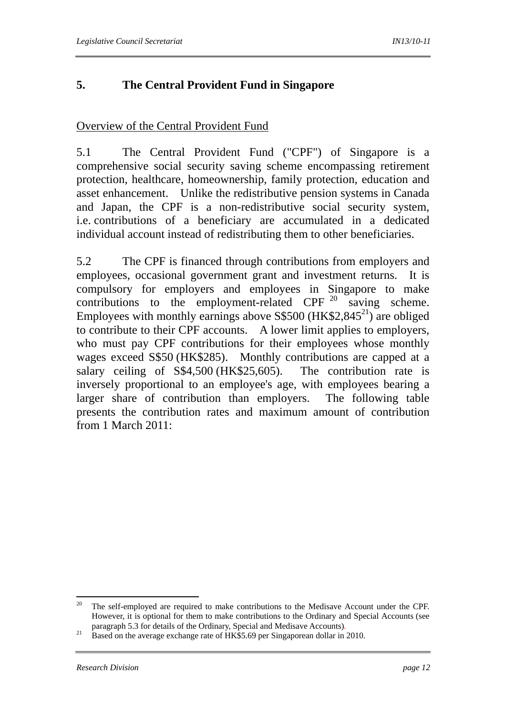# **5. The Central Provident Fund in Singapore**

# Overview of the Central Provident Fund

5.1 The Central Provident Fund ("CPF") of Singapore is a comprehensive social security saving scheme encompassing retirement protection, healthcare, homeownership, family protection, education and asset enhancement. Unlike the redistributive pension systems in Canada and Japan, the CPF is a non-redistributive social security system, i.e. contributions of a beneficiary are accumulated in a dedicated individual account instead of redistributing them to other beneficiaries.

5.2 The CPF is financed through contributions from employers and employees, occasional government grant and investment returns. It is compulsory for employers and employees in Singapore to make contributions to the employment-related CPF  $20$  saving scheme. Employees with monthly earnings above S\$500 (HK\$2,845<sup>21</sup>) are obliged to contribute to their CPF accounts. A lower limit applies to employers, who must pay CPF contributions for their employees whose monthly wages exceed S\$50 (HK\$285). Monthly contributions are capped at a salary ceiling of S\$4,500 (HK\$25,605). The contribution rate is inversely proportional to an employee's age, with employees bearing a larger share of contribution than employers. The following table presents the contribution rates and maximum amount of contribution from 1 March 2011:

<sup>20</sup> 20 The self-employed are required to make contributions to the Medisave Account under the CPF. However, it is optional for them to make contributions to the Ordinary and Special Accounts (see

paragraph 5.3 for details of the Ordinary, Special and Medisave Accounts).<br><sup>21</sup> Based on the average exchange rate of HK\$5.69 per Singaporean dollar in 2010.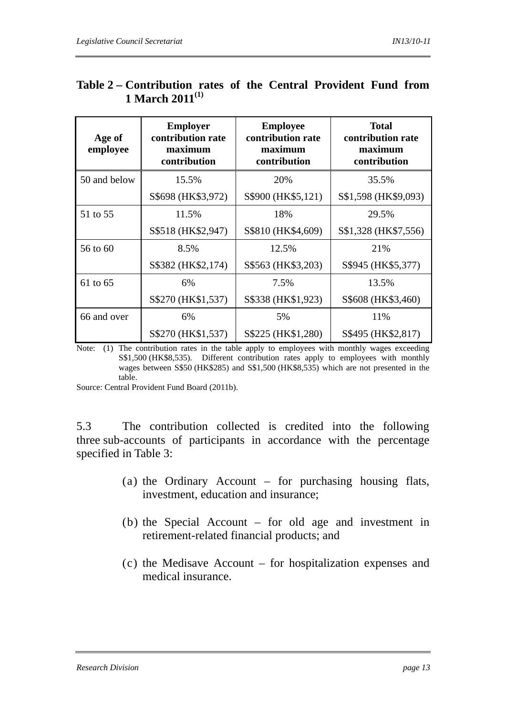| Age of<br>employee | <b>Employer</b><br>contribution rate<br>maximum<br>contribution | <b>Employee</b><br>contribution rate<br>maximum<br>contribution | <b>Total</b><br>contribution rate<br>maximum<br>contribution |
|--------------------|-----------------------------------------------------------------|-----------------------------------------------------------------|--------------------------------------------------------------|
| 50 and below       | 15.5%                                                           | 20%                                                             | 35.5%                                                        |
|                    | S\$698 (HK\$3,972)                                              | S\$900 (HK\$5,121)                                              | S\$1,598 (HK\$9,093)                                         |
| 51 to 55           | 11.5%                                                           | 18%                                                             | 29.5%                                                        |
|                    | S\$518 (HK\$2,947)                                              | S\$810 (HK\$4,609)                                              | S\$1,328 (HK\$7,556)                                         |
| 56 to 60           | 8.5%                                                            | 12.5%                                                           | 21%                                                          |
|                    | S\$382 (HK\$2,174)                                              | S\$563 (HK\$3,203)                                              | S\$945 (HK\$5,377)                                           |
| 61 to 65           | 6%                                                              | 7.5%                                                            | 13.5%                                                        |
|                    | S\$270 (HK\$1,537)                                              | S\$338 (HK\$1,923)                                              | S\$608 (HK\$3,460)                                           |
| 66 and over        | 6%                                                              | 5%                                                              | 11%                                                          |
|                    | S\$270 (HK\$1,537)                                              | S\$225 (HK\$1,280)                                              | S\$495 (HK\$2,817)                                           |

# **Table 2 – Contribution rates of the Central Provident Fund from 1 March 2011(1)**

Note: (1) The contribution rates in the table apply to employees with monthly wages exceeding S\$1,500 (HK\$8,535). Different contribution rates apply to employees with monthly wages between S\$50 (HK\$285) and S\$1,500 (HK\$8,535) which are not presented in the table.

Source: Central Provident Fund Board (2011b).

5.3 The contribution collected is credited into the following three sub-accounts of participants in accordance with the percentage specified in Table 3:

- (a) the Ordinary Account for purchasing housing flats, investment, education and insurance;
- (b) the Special Account for old age and investment in retirement-related financial products; and
- (c) the Medisave Account for hospitalization expenses and medical insurance.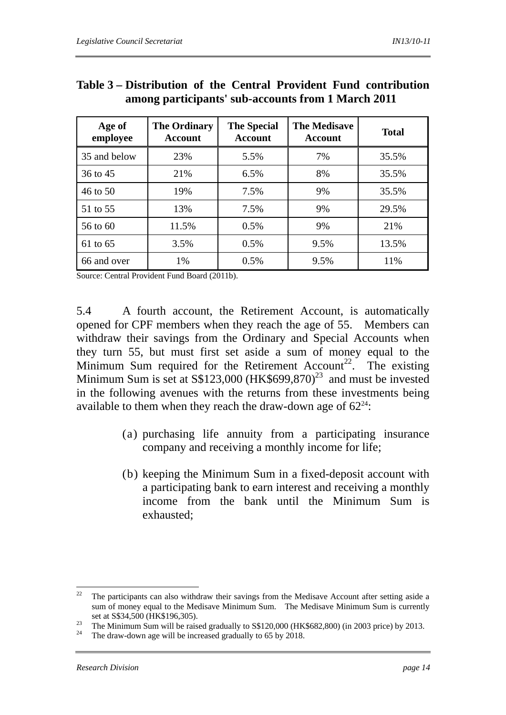| Age of<br>employee | <b>The Ordinary</b><br><b>Account</b> | <b>The Special</b><br><b>Account</b> | <b>The Medisave</b><br>Account | <b>Total</b> |
|--------------------|---------------------------------------|--------------------------------------|--------------------------------|--------------|
| 35 and below       | 23%                                   | 5.5%                                 | 7%                             | 35.5%        |
| 36 to 45           | 21%                                   | 6.5%                                 | 8%                             | 35.5%        |
| 46 to 50           | 19%                                   | 7.5%                                 | 9%                             | 35.5%        |
| 51 to 55           | 13%                                   | 7.5%                                 | 9%                             | 29.5%        |
| 56 to 60           | 11.5%                                 | $0.5\%$                              | 9%                             | 21%          |
| 61 to 65           | 3.5%                                  | 0.5%                                 | 9.5%                           | 13.5%        |
| 66 and over        | 1%                                    | 0.5%                                 | 9.5%                           | 11%          |

### **Table 3 – Distribution of the Central Provident Fund contribution among participants' sub-accounts from 1 March 2011**

Source: Central Provident Fund Board (2011b).

5.4 A fourth account, the Retirement Account, is automatically opened for CPF members when they reach the age of 55. Members can withdraw their savings from the Ordinary and Special Accounts when they turn 55, but must first set aside a sum of money equal to the Minimum Sum required for the Retirement Account<sup>22</sup>. The existing Minimum Sum is set at S\$123,000 (HK\$699,870)<sup>23</sup> and must be invested in the following avenues with the returns from these investments being available to them when they reach the draw-down age of  $62^{24}$ :

- (a) purchasing life annuity from a participating insurance company and receiving a monthly income for life;
- (b) keeping the Minimum Sum in a fixed-deposit account with a participating bank to earn interest and receiving a monthly income from the bank until the Minimum Sum is exhausted;

<sup>22</sup> The participants can also withdraw their savings from the Medisave Account after setting aside a sum of money equal to the Medisave Minimum Sum. The Medisave Minimum Sum is currently

set at S\$34,500 (HK\$196,305).<br><sup>23</sup> The Minimum Sum will be raised gradually to S\$120,000 (HK\$682,800) (in 2003 price) by 2013.<br><sup>24</sup> The draw-down age will be increased gradually to 65 by 2018.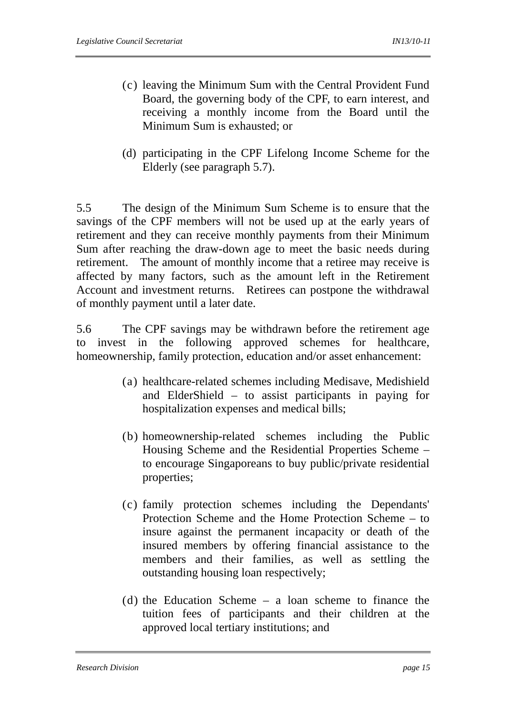- (c) leaving the Minimum Sum with the Central Provident Fund Board, the governing body of the CPF, to earn interest, and receiving a monthly income from the Board until the Minimum Sum is exhausted; or
- (d) participating in the CPF Lifelong Income Scheme for the Elderly (see paragraph 5.7).

5.5 The design of the Minimum Sum Scheme is to ensure that the savings of the CPF members will not be used up at the early years of retirement and they can receive monthly payments from their Minimum Sum after reaching the draw-down age to meet the basic needs during retirement. The amount of monthly income that a retiree may receive is affected by many factors, such as the amount left in the Retirement Account and investment returns. Retirees can postpone the withdrawal of monthly payment until a later date.

5.6 The CPF savings may be withdrawn before the retirement age to invest in the following approved schemes for healthcare, homeownership, family protection, education and/or asset enhancement:

- (a) healthcare-related schemes including Medisave, Medishield and ElderShield – to assist participants in paying for hospitalization expenses and medical bills;
- (b) homeownership-related schemes including the Public Housing Scheme and the Residential Properties Scheme – to encourage Singaporeans to buy public/private residential properties;
- (c) family protection schemes including the Dependants' Protection Scheme and the Home Protection Scheme – to insure against the permanent incapacity or death of the insured members by offering financial assistance to the members and their families, as well as settling the outstanding housing loan respectively;
- (d) the Education Scheme a loan scheme to finance the tuition fees of participants and their children at the approved local tertiary institutions; and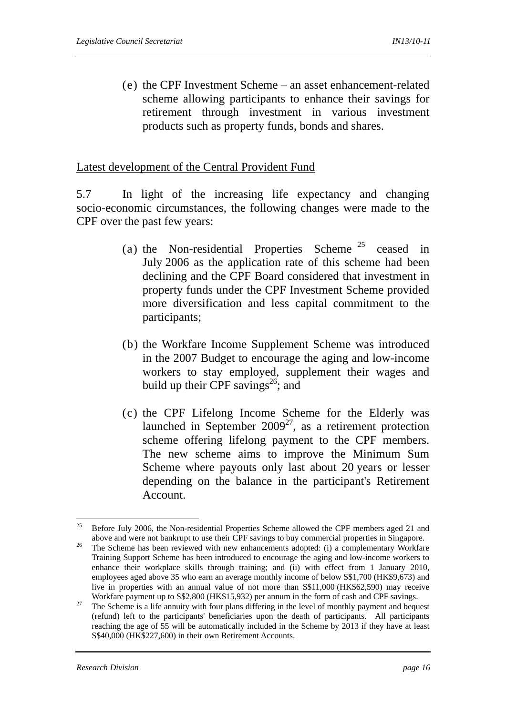(e) the CPF Investment Scheme – an asset enhancement-related scheme allowing participants to enhance their savings for retirement through investment in various investment products such as property funds, bonds and shares.

#### Latest development of the Central Provident Fund

5.7 In light of the increasing life expectancy and changing socio-economic circumstances, the following changes were made to the CPF over the past few years:

- (a) the Non-residential Properties Scheme 25 ceased in July 2006 as the application rate of this scheme had been declining and the CPF Board considered that investment in property funds under the CPF Investment Scheme provided more diversification and less capital commitment to the participants;
- (b) the Workfare Income Supplement Scheme was introduced in the 2007 Budget to encourage the aging and low-income workers to stay employed, supplement their wages and build up their CPF savings<sup>26</sup>; and
- (c) the CPF Lifelong Income Scheme for the Elderly was launched in September  $2009^{27}$ , as a retirement protection scheme offering lifelong payment to the CPF members. The new scheme aims to improve the Minimum Sum Scheme where payouts only last about 20 years or lesser depending on the balance in the participant's Retirement Account.

 $25$ 25 Before July 2006, the Non-residential Properties Scheme allowed the CPF members aged 21 and above and were not bankrupt to use their CPF savings to buy commercial properties in Singapore.<br><sup>26</sup> The Scheme has been reviewed with new enhancements adopted: (i) a complementary Workfare Training Support Scheme has been introduced to encourage the aging and low-income workers to enhance their workplace skills through training; and (ii) with effect from 1 January 2010, employees aged above 35 who earn an average monthly income of below S\$1,700 (HK\$9,673) and live in properties with an annual value of not more than S\$11,000 (HK\$62,590) may receive

Workfare payment up to S\$2,800 (HK\$15,932) per annum in the form of cash and CPF savings.<br><sup>27</sup> The Scheme is a life annuity with four plans differing in the level of monthly payment and bequest (refund) left to the participants' beneficiaries upon the death of participants. All participants reaching the age of 55 will be automatically included in the Scheme by 2013 if they have at least S\$40,000 (HK\$227,600) in their own Retirement Accounts.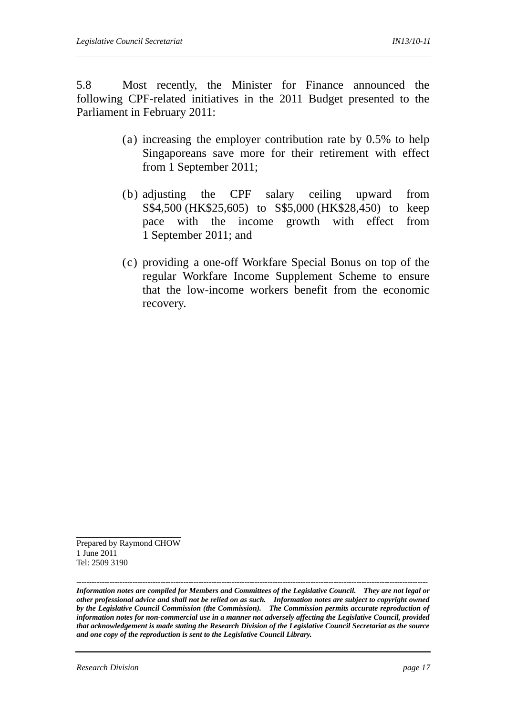5.8 Most recently, the Minister for Finance announced the following CPF-related initiatives in the 2011 Budget presented to the Parliament in February 2011:

- (a) increasing the employer contribution rate by 0.5% to help Singaporeans save more for their retirement with effect from 1 September 2011;
- (b) adjusting the CPF salary ceiling upward from S\$4,500 (HK\$25,605) to S\$5,000 (HK\$28,450) to keep pace with the income growth with effect from 1 September 2011; and
- (c) providing a one-off Workfare Special Bonus on top of the regular Workfare Income Supplement Scheme to ensure that the low-income workers benefit from the economic recovery.

Prepared by Raymond CHOW 1 June 2011 Tel: 2509 3190

*------------------------------------------------------------------------------------------------------------------------------------------ Information notes are compiled for Members and Committees of the Legislative Council. They are not legal or other professional advice and shall not be relied on as such. Information notes are subject to copyright owned by the Legislative Council Commission (the Commission). The Commission permits accurate reproduction of information notes for non-commercial use in a manner not adversely affecting the Legislative Council, provided that acknowledgement is made stating the Research Division of the Legislative Council Secretariat as the source and one copy of the reproduction is sent to the Legislative Council Library.*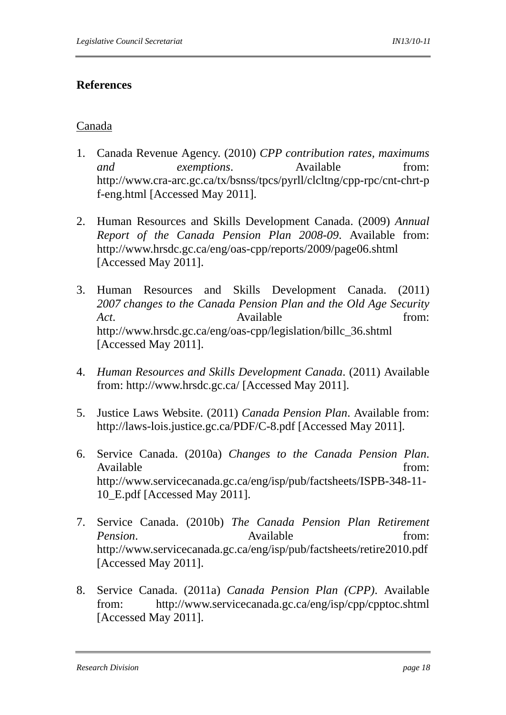# **References**

### Canada

- 1. Canada Revenue Agency. (2010) *CPP contribution rates, maximums and exemptions*. Available from: http://www.cra-arc.gc.ca/tx/bsnss/tpcs/pyrll/clcltng/cpp-rpc/cnt-chrt-p f-eng.html [Accessed May 2011].
- 2. Human Resources and Skills Development Canada. (2009) *Annual Report of the Canada Pension Plan 2008-09*. Available from: http://www.hrsdc.gc.ca/eng/oas-cpp/reports/2009/page06.shtml [Accessed May 2011].
- 3. Human Resources and Skills Development Canada. (2011) *2007 changes to the Canada Pension Plan and the Old Age Security Act*. **Available** from: http://www.hrsdc.gc.ca/eng/oas-cpp/legislation/billc\_36.shtml [Accessed May 2011].
- 4. *Human Resources and Skills Development Canada*. (2011) Available from: http://www.hrsdc.gc.ca/ [Accessed May 2011].
- 5. Justice Laws Website. (2011) *Canada Pension Plan*. Available from: http://laws-lois.justice.gc.ca/PDF/C-8.pdf [Accessed May 2011].
- 6. Service Canada. (2010a) *Changes to the Canada Pension Plan*. Available from:  $\blacksquare$ http://www.servicecanada.gc.ca/eng/isp/pub/factsheets/ISPB-348-11- 10\_E.pdf [Accessed May 2011].
- 7. Service Canada. (2010b) *The Canada Pension Plan Retirement Pension*. Available from: http://www.servicecanada.gc.ca/eng/isp/pub/factsheets/retire2010.pdf [Accessed May 2011].
- 8. Service Canada. (2011a) *Canada Pension Plan (CPP)*. Available from: http://www.servicecanada.gc.ca/eng/isp/cpp/cpptoc.shtml [Accessed May 2011].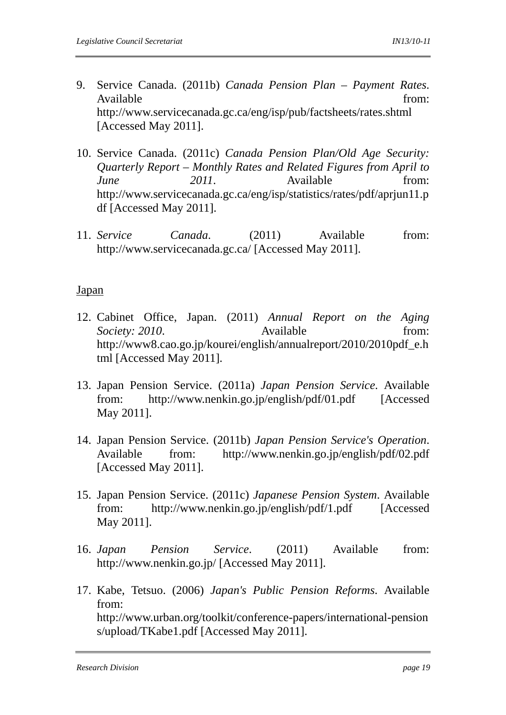- 9. Service Canada. (2011b) *Canada Pension Plan Payment Rates*. Available from: the from: the from: the from: the from: the from: the from: the from: the from: the from: the from: the from: the from: the from: the from: the from: the from: the from: the from: the from: the from: the fr http://www.servicecanada.gc.ca/eng/isp/pub/factsheets/rates.shtml [Accessed May 2011].
- 10. Service Canada. (2011c) *Canada Pension Plan/Old Age Security: Quarterly Report – Monthly Rates and Related Figures from April to June* 2011. Available from: http://www.servicecanada.gc.ca/eng/isp/statistics/rates/pdf/aprjun11.p df [Accessed May 2011].
- 11. *Service Canada*. (2011) Available from: http://www.servicecanada.gc.ca/ [Accessed May 2011].

### Japan

- 12. Cabinet Office, Japan. (2011) *Annual Report on the Aging Society: 2010.* Available from: http://www8.cao.go.jp/kourei/english/annualreport/2010/2010pdf\_e.h tml [Accessed May 2011].
- 13. Japan Pension Service. (2011a) *Japan Pension Service*. Available from: http://www.nenkin.go.jp/english/pdf/01.pdf [Accessed May 2011].
- 14. Japan Pension Service. (2011b) *Japan Pension Service's Operation*. Available from: http://www.nenkin.go.jp/english/pdf/02.pdf [Accessed May 2011].
- 15. Japan Pension Service. (2011c) *Japanese Pension System*. Available from: http://www.nenkin.go.jp/english/pdf/1.pdf [Accessed May 2011].
- 16. *Japan Pension Service*. (2011) Available from: http://www.nenkin.go.jp/ [Accessed May 2011].
- 17. Kabe, Tetsuo. (2006) *Japan's Public Pension Reforms*. Available from: http://www.urban.org/toolkit/conference-papers/international-pension s/upload/TKabe1.pdf [Accessed May 2011].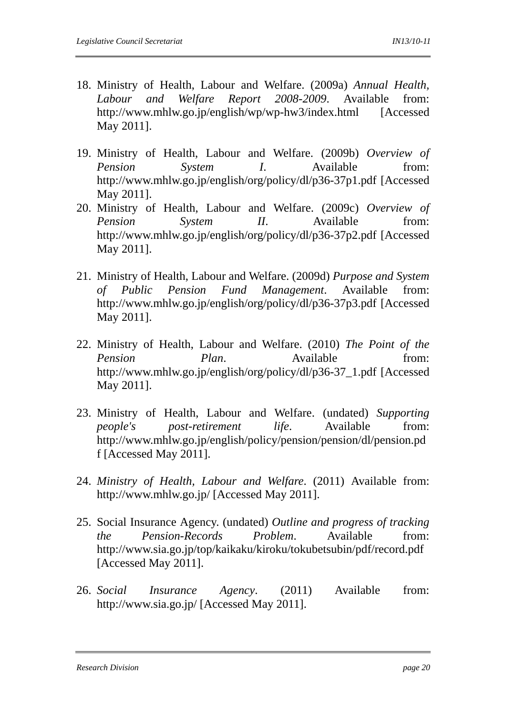- 18. Ministry of Health, Labour and Welfare. (2009a) *Annual Health, Labour and Welfare Report 2008-2009*. Available from: http://www.mhlw.go.jp/english/wp/wp-hw3/index.html [Accessed May 2011].
- 19. Ministry of Health, Labour and Welfare. (2009b) *Overview of Pension System I*. Available from: http://www.mhlw.go.jp/english/org/policy/dl/p36-37p1.pdf [Accessed May 2011].
- 20. Ministry of Health, Labour and Welfare. (2009c) *Overview of Pension System II*. Available from: http://www.mhlw.go.jp/english/org/policy/dl/p36-37p2.pdf [Accessed May 2011].
- 21. Ministry of Health, Labour and Welfare. (2009d) *Purpose and System of Public Pension Fund Management*. Available from: http://www.mhlw.go.jp/english/org/policy/dl/p36-37p3.pdf [Accessed May 2011].
- 22. Ministry of Health, Labour and Welfare. (2010) *The Point of the Pension Plan.* Available from: http://www.mhlw.go.jp/english/org/policy/dl/p36-37\_1.pdf [Accessed May 2011].
- 23. Ministry of Health, Labour and Welfare. (undated) *Supporting people's post-retirement life*. Available from: http://www.mhlw.go.jp/english/policy/pension/pension/dl/pension.pd f [Accessed May 2011].
- 24. *Ministry of Health, Labour and Welfare*. (2011) Available from: http://www.mhlw.go.jp/ [Accessed May 2011].
- 25. Social Insurance Agency. (undated) *Outline and progress of tracking the Pension-Records Problem*. Available from: http://www.sia.go.jp/top/kaikaku/kiroku/tokubetsubin/pdf/record.pdf [Accessed May 2011].
- 26. *Social Insurance Agency*. (2011) Available from: http://www.sia.go.jp/ [Accessed May 2011].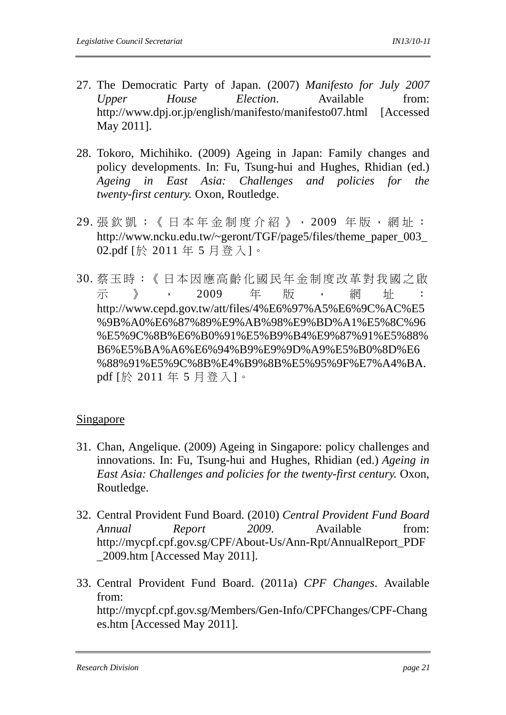- 27. The Democratic Party of Japan. (2007) *Manifesto for July 2007 Upper House Election*. Available from: http://www.dpj.or.jp/english/manifesto/manifesto07.html [Accessed May 2011].
- 28. Tokoro, Michihiko. (2009) Ageing in Japan: Family changes and policy developments. In: Fu, Tsung-hui and Hughes, Rhidian (ed.) *Ageing in East Asia: Challenges and policies for the twenty-first century.* Oxon, Routledge.
- 29. 張欽凱: 《日本年金制度介紹》, 2009 年版, 網址: http://www.ncku.edu.tw/~geront/TGF/page5/files/theme\_paper\_003 02.pdf [於 2011 年 5 月登入]。
- 30. 蔡玉時:《日本因應高齡化國民年金制度改革對我國之啟 示 》 , 2009 年 版 , 網 址 : http://www.cepd.gov.tw/att/files/4%E6%97%A5%E6%9C%AC%E5 %9B%A0%E6%87%89%E9%AB%98%E9%BD%A1%E5%8C%96 %E5%9C%8B%E6%B0%91%E5%B9%B4%E9%87%91%E5%88% B6%E5%BA%A6%E6%94%B9%E9%9D%A9%E5%B0%8D%E6 %88%91%E5%9C%8B%E4%B9%8B%E5%95%9F%E7%A4%BA. pdf [於 2011 年 5 月登入]。

# Singapore

- 31. Chan, Angelique. (2009) Ageing in Singapore: policy challenges and innovations. In: Fu, Tsung-hui and Hughes, Rhidian (ed.) *Ageing in East Asia: Challenges and policies for the twenty-first century.* Oxon, Routledge.
- 32. Central Provident Fund Board. (2010) *Central Provident Fund Board Annual Report 2009*. Available from: http://mycpf.cpf.gov.sg/CPF/About-Us/Ann-Rpt/AnnualReport\_PDF \_2009.htm [Accessed May 2011].
- 33. Central Provident Fund Board. (2011a) *CPF Changes*. Available from: http://mycpf.cpf.gov.sg/Members/Gen-Info/CPFChanges/CPF-Chang es.htm [Accessed May 2011].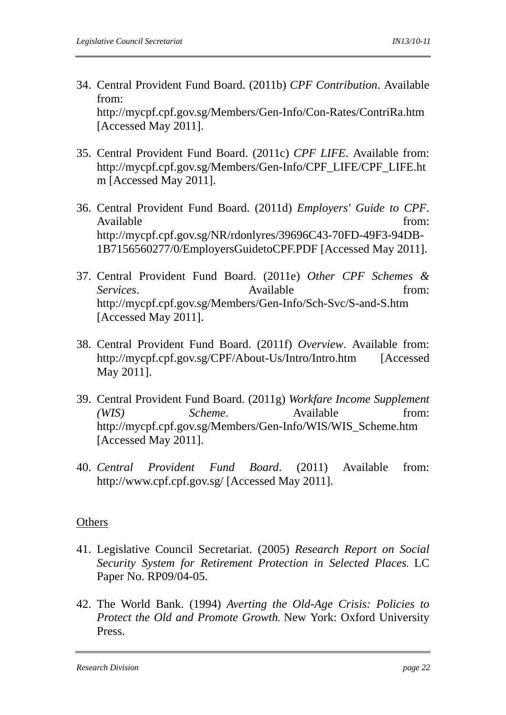- 34. Central Provident Fund Board. (2011b) *CPF Contribution*. Available from: http://mycpf.cpf.gov.sg/Members/Gen-Info/Con-Rates/ContriRa.htm [Accessed May 2011].
- 35. Central Provident Fund Board. (2011c) *CPF LIFE*. Available from: http://mycpf.cpf.gov.sg/Members/Gen-Info/CPF\_LIFE/CPF\_LIFE.ht m [Accessed May 2011].
- 36. Central Provident Fund Board. (2011d) *Employers' Guide to CPF*. Available from:  $\blacksquare$ http://mycpf.cpf.gov.sg/NR/rdonlyres/39696C43-70FD-49F3-94DB-1B7156560277/0/EmployersGuidetoCPF.PDF [Accessed May 2011].
- 37. Central Provident Fund Board. (2011e) *Other CPF Schemes & Services*. Available from: http://mycpf.cpf.gov.sg/Members/Gen-Info/Sch-Svc/S-and-S.htm [Accessed May 2011].
- 38. Central Provident Fund Board. (2011f) *Overview*. Available from: http://mycpf.cpf.gov.sg/CPF/About-Us/Intro/Intro.htm [Accessed May 2011].
- 39. Central Provident Fund Board. (2011g) *Workfare Income Supplement (WIS) Scheme*. Available from: http://mycpf.cpf.gov.sg/Members/Gen-Info/WIS/WIS\_Scheme.htm [Accessed May 2011].
- 40. *Central Provident Fund Board*. (2011) Available from: http://www.cpf.cpf.gov.sg/ [Accessed May 2011].

### **Others**

- 41. Legislative Council Secretariat. (2005) *Research Report on Social Security System for Retirement Protection in Selected Places.* LC Paper No. RP09/04-05.
- 42. The World Bank. (1994) *Averting the Old-Age Crisis: Policies to Protect the Old and Promote Growth.* New York: Oxford University Press.